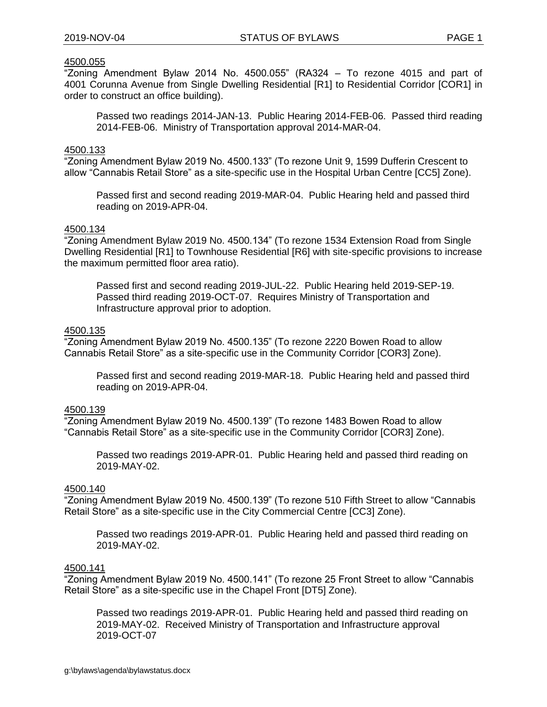# 4500.055

"Zoning Amendment Bylaw 2014 No. 4500.055" (RA324 – To rezone 4015 and part of 4001 Corunna Avenue from Single Dwelling Residential [R1] to Residential Corridor [COR1] in order to construct an office building).

Passed two readings 2014-JAN-13. Public Hearing 2014-FEB-06. Passed third reading 2014-FEB-06. Ministry of Transportation approval 2014-MAR-04.

#### 4500.133

"Zoning Amendment Bylaw 2019 No. 4500.133" (To rezone Unit 9, 1599 Dufferin Crescent to allow "Cannabis Retail Store" as a site-specific use in the Hospital Urban Centre [CC5] Zone).

Passed first and second reading 2019-MAR-04. Public Hearing held and passed third reading on 2019-APR-04.

### 4500.134

"Zoning Amendment Bylaw 2019 No. 4500.134" (To rezone 1534 Extension Road from Single Dwelling Residential [R1] to Townhouse Residential [R6] with site-specific provisions to increase the maximum permitted floor area ratio).

Passed first and second reading 2019-JUL-22. Public Hearing held 2019-SEP-19. Passed third reading 2019-OCT-07. Requires Ministry of Transportation and Infrastructure approval prior to adoption.

#### 4500.135

"Zoning Amendment Bylaw 2019 No. 4500.135" (To rezone 2220 Bowen Road to allow Cannabis Retail Store" as a site-specific use in the Community Corridor [COR3] Zone).

Passed first and second reading 2019-MAR-18. Public Hearing held and passed third reading on 2019-APR-04.

# 4500.139

"Zoning Amendment Bylaw 2019 No. 4500.139" (To rezone 1483 Bowen Road to allow "Cannabis Retail Store" as a site-specific use in the Community Corridor [COR3] Zone).

Passed two readings 2019-APR-01. Public Hearing held and passed third reading on 2019-MAY-02.

## 4500.140

"Zoning Amendment Bylaw 2019 No. 4500.139" (To rezone 510 Fifth Street to allow "Cannabis Retail Store" as a site-specific use in the City Commercial Centre [CC3] Zone).

Passed two readings 2019-APR-01. Public Hearing held and passed third reading on 2019-MAY-02.

### 4500.141

"Zoning Amendment Bylaw 2019 No. 4500.141" (To rezone 25 Front Street to allow "Cannabis Retail Store" as a site-specific use in the Chapel Front [DT5] Zone).

Passed two readings 2019-APR-01. Public Hearing held and passed third reading on 2019-MAY-02. Received Ministry of Transportation and Infrastructure approval 2019-OCT-07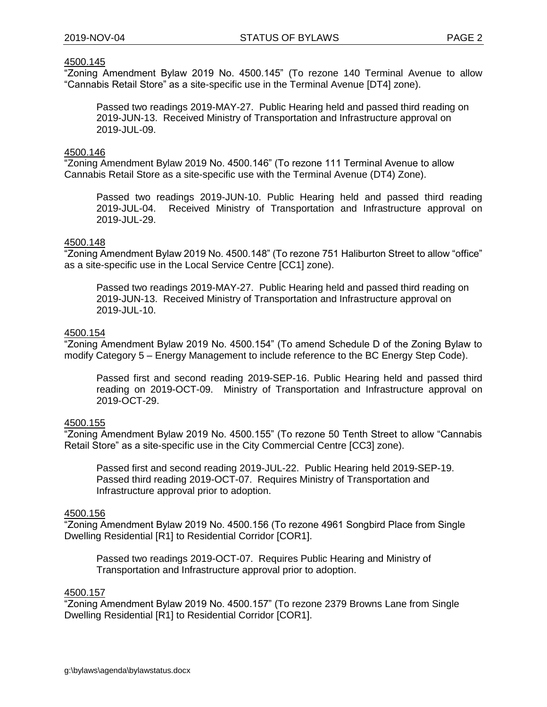# 4500.145

"Zoning Amendment Bylaw 2019 No. 4500.145" (To rezone 140 Terminal Avenue to allow "Cannabis Retail Store" as a site-specific use in the Terminal Avenue [DT4] zone).

Passed two readings 2019-MAY-27. Public Hearing held and passed third reading on 2019-JUN-13. Received Ministry of Transportation and Infrastructure approval on 2019-JUL-09.

### 4500.146

"Zoning Amendment Bylaw 2019 No. 4500.146" (To rezone 111 Terminal Avenue to allow Cannabis Retail Store as a site-specific use with the Terminal Avenue (DT4) Zone).

Passed two readings 2019-JUN-10. Public Hearing held and passed third reading 2019-JUL-04. Received Ministry of Transportation and Infrastructure approval on 2019-JUL-29.

### 4500.148

"Zoning Amendment Bylaw 2019 No. 4500.148" (To rezone 751 Haliburton Street to allow "office" as a site-specific use in the Local Service Centre [CC1] zone).

Passed two readings 2019-MAY-27. Public Hearing held and passed third reading on 2019-JUN-13. Received Ministry of Transportation and Infrastructure approval on 2019-JUL-10.

# 4500.154

"Zoning Amendment Bylaw 2019 No. 4500.154" (To amend Schedule D of the Zoning Bylaw to modify Category 5 – Energy Management to include reference to the BC Energy Step Code).

Passed first and second reading 2019-SEP-16. Public Hearing held and passed third reading on 2019-OCT-09. Ministry of Transportation and Infrastructure approval on 2019-OCT-29.

### 4500.155

"Zoning Amendment Bylaw 2019 No. 4500.155" (To rezone 50 Tenth Street to allow "Cannabis Retail Store" as a site-specific use in the City Commercial Centre [CC3] zone).

Passed first and second reading 2019-JUL-22. Public Hearing held 2019-SEP-19. Passed third reading 2019-OCT-07. Requires Ministry of Transportation and Infrastructure approval prior to adoption.

# 4500.156

"Zoning Amendment Bylaw 2019 No. 4500.156 (To rezone 4961 Songbird Place from Single Dwelling Residential [R1] to Residential Corridor [COR1].

Passed two readings 2019-OCT-07. Requires Public Hearing and Ministry of Transportation and Infrastructure approval prior to adoption.

# 4500.157

"Zoning Amendment Bylaw 2019 No. 4500.157" (To rezone 2379 Browns Lane from Single Dwelling Residential [R1] to Residential Corridor [COR1].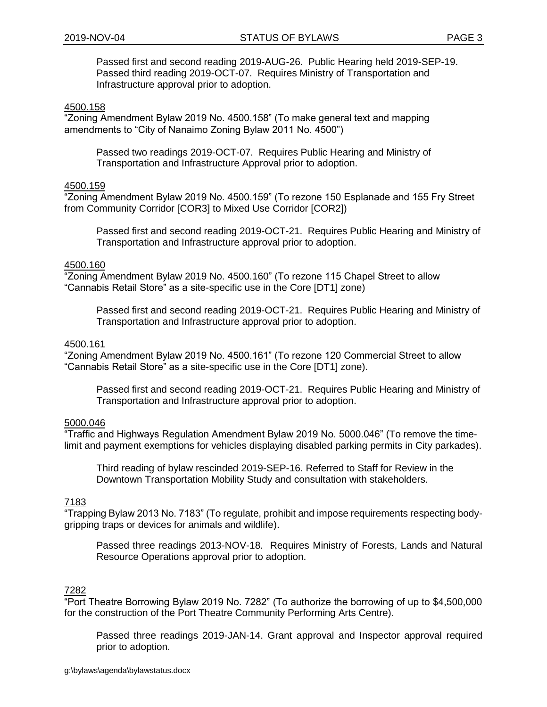Passed first and second reading 2019-AUG-26. Public Hearing held 2019-SEP-19. Passed third reading 2019-OCT-07. Requires Ministry of Transportation and Infrastructure approval prior to adoption.

### 4500.158

"Zoning Amendment Bylaw 2019 No. 4500.158" (To make general text and mapping amendments to "City of Nanaimo Zoning Bylaw 2011 No. 4500")

Passed two readings 2019-OCT-07. Requires Public Hearing and Ministry of Transportation and Infrastructure Approval prior to adoption.

## 4500.159

"Zoning Amendment Bylaw 2019 No. 4500.159" (To rezone 150 Esplanade and 155 Fry Street from Community Corridor [COR3] to Mixed Use Corridor [COR2])

Passed first and second reading 2019-OCT-21. Requires Public Hearing and Ministry of Transportation and Infrastructure approval prior to adoption.

### 4500.160

"Zoning Amendment Bylaw 2019 No. 4500.160" (To rezone 115 Chapel Street to allow "Cannabis Retail Store" as a site-specific use in the Core [DT1] zone)

Passed first and second reading 2019-OCT-21. Requires Public Hearing and Ministry of Transportation and Infrastructure approval prior to adoption.

## 4500.161

"Zoning Amendment Bylaw 2019 No. 4500.161" (To rezone 120 Commercial Street to allow "Cannabis Retail Store" as a site-specific use in the Core [DT1] zone).

Passed first and second reading 2019-OCT-21. Requires Public Hearing and Ministry of Transportation and Infrastructure approval prior to adoption.

### 5000.046

"Traffic and Highways Regulation Amendment Bylaw 2019 No. 5000.046" (To remove the timelimit and payment exemptions for vehicles displaying disabled parking permits in City parkades).

Third reading of bylaw rescinded 2019-SEP-16. Referred to Staff for Review in the Downtown Transportation Mobility Study and consultation with stakeholders.

### 7183

"Trapping Bylaw 2013 No. 7183" (To regulate, prohibit and impose requirements respecting bodygripping traps or devices for animals and wildlife).

Passed three readings 2013-NOV-18. Requires Ministry of Forests, Lands and Natural Resource Operations approval prior to adoption.

### 7282

"Port Theatre Borrowing Bylaw 2019 No. 7282" (To authorize the borrowing of up to \$4,500,000 for the construction of the Port Theatre Community Performing Arts Centre).

Passed three readings 2019-JAN-14. Grant approval and Inspector approval required prior to adoption.